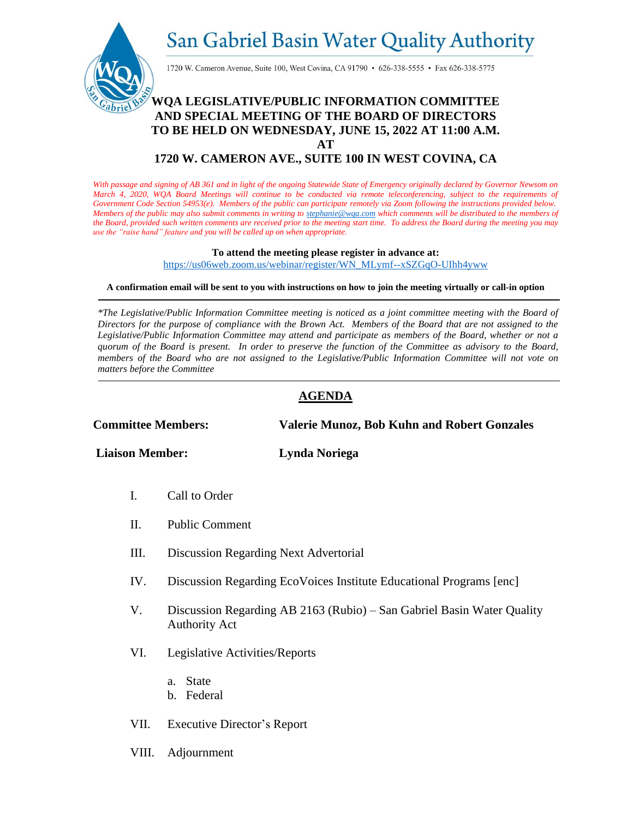San Gabriel Basin Water Quality Authority



1720 W. Cameron Avenue, Suite 100, West Covina, CA 91790 • 626-338-5555 • Fax 626-338-5775

### **WQA LEGISLATIVE/PUBLIC INFORMATION COMMITTEE AND SPECIAL MEETING OF THE BOARD OF DIRECTORS TO BE HELD ON WEDNESDAY, JUNE 15, 2022 AT 11:00 A.M.**

**AT**

#### **1720 W. CAMERON AVE., SUITE 100 IN WEST COVINA, CA**

*With passage and signing of AB 361 and in light of the ongoing Statewide State of Emergency originally declared by Governor Newsom on March 4, 2020, WQA Board Meetings will continue to be conducted via remote teleconferencing, subject to the requirements of Government Code Section 54953(e). Members of the public can participate remotely via Zoom following the instructions provided below. Members of the public may also submit comments in writing t[o stephanie@wqa.com](mailto:stephanie@wqa.com) which comments will be distributed to the members of the Board, provided such written comments are received prior to the meeting start time. To address the Board during the meeting you may use the "raise hand" feature and you will be called up on when appropriate.*

#### **To attend the meeting please register in advance at:**

[https://us06web.zoom.us/webinar/register/WN\\_MLymf--xSZGqO-UIhh4yww](https://us06web.zoom.us/webinar/register/WN_MLymf--xSZGqO-UIhh4yww)

#### **A confirmation email will be sent to you with instructions on how to join the meeting virtually or call-in option**

*\*The Legislative/Public Information Committee meeting is noticed as a joint committee meeting with the Board of Directors for the purpose of compliance with the Brown Act. Members of the Board that are not assigned to the Legislative/Public Information Committee may attend and participate as members of the Board, whether or not a quorum of the Board is present. In order to preserve the function of the Committee as advisory to the Board, members of the Board who are not assigned to the Legislative/Public Information Committee will not vote on matters before the Committee*

#### **AGENDA**

**Committee Members: Valerie Munoz, Bob Kuhn and Robert Gonzales**

**Liaison Member: Lynda Noriega**

- I. Call to Order
- II. Public Comment
- III. Discussion Regarding Next Advertorial
- IV. Discussion Regarding EcoVoices Institute Educational Programs [enc]
- V. Discussion Regarding AB 2163 (Rubio) San Gabriel Basin Water Quality Authority Act
- VI. Legislative Activities/Reports
	- a. State
	- b. Federal
- VII. Executive Director's Report
- VIII. Adjournment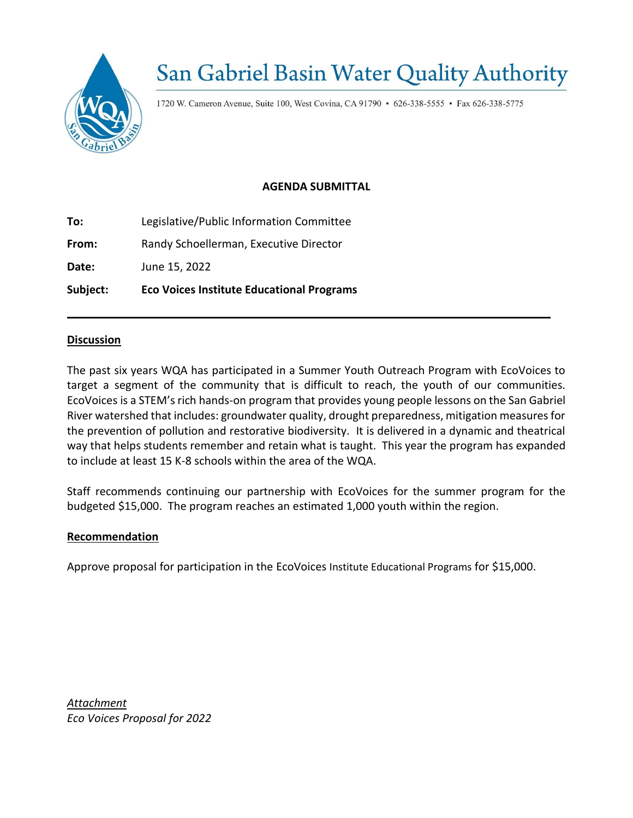

# **San Gabriel Basin Water Quality Authority**

1720 W. Cameron Avenue, Suite 100, West Covina, CA 91790 • 626-338-5555 • Fax 626-338-5775

#### **AGENDA SUBMITTAL**

**To:** Legislative/Public Information Committee

**From:** Randy Schoellerman, Executive Director

**Date:** June 15, 2022

**Subject: Eco Voices Institute Educational Programs** 

#### **Discussion**

The past six years WQA has participated in a Summer Youth Outreach Program with EcoVoices to target a segment of the community that is difficult to reach, the youth of our communities. EcoVoices is a STEM's rich hands-on program that provides young people lessons on the San Gabriel River watershed that includes: groundwater quality, drought preparedness, mitigation measures for the prevention of pollution and restorative biodiversity. It is delivered in a dynamic and theatrical way that helps students remember and retain what is taught. This year the program has expanded to include at least 15 K-8 schools within the area of the WQA.

Staff recommends continuing our partnership with EcoVoices for the summer program for the budgeted \$15,000. The program reaches an estimated 1,000 youth within the region.

#### **Recommendation**

Approve proposal for participation in the EcoVoices Institute Educational Programs for \$15,000.

*Attachment Eco Voices Proposal for 2022*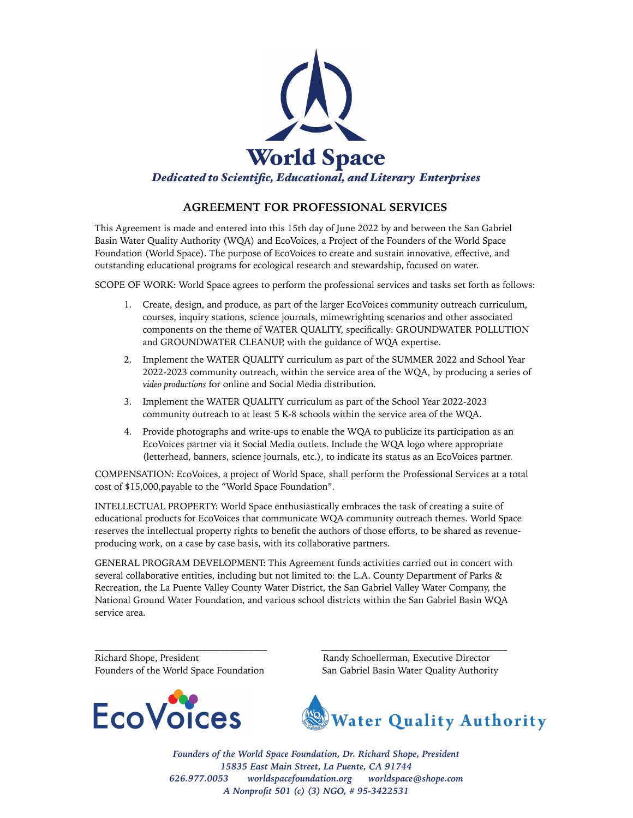

#### **AGREEMENT FOR PROFESSIONAL SERVICES**

This Agreement is made and entered into this 15th day of June 2022 by and between the San Gabriel Basin Water Quality Authority (WQA) and EcoVoices, a Project of the Founders of the World Space Foundation (World Space). The purpose of EcoVoices to create and sustain innovative, effective, and outstanding educational programs for ecological research and stewardship, focused on water.

SCOPE OF WORK: World Space agrees to perform the professional services and tasks set forth as follows:

- 1. Create, design, and produce, as part of the larger EcoVoices community outreach curriculum, courses, inquiry stations, science journals, mimewrighting scenarios and other associated components on the theme of WATER QUALITY, specifically: GROUNDWATER POLLUTION and GROUNDWATER CLEANUP, with the guidance of WQA expertise.
- 2. Implement the WATER QUALITY curriculum as part of the SUMMER 2022 and School Year 2022-2023 community outreach, within the service area of the WQA, by producing a series of *video productions* for online and Social Media distribution.
- 3. Implement the WATER QUALITY curriculum as part of the School Year 2022-2023 community outreach to at least 5 K-8 schools within the service area of the WQA.
- 4. Provide photographs and write-ups to enable the WQA to publicize its participation as an EcoVoices partner via it Social Media outlets. Include the WQA logo where appropriate (letterhead, banners, science journals, etc.), to indicate its status as an EcoVoices partner.

COMPENSATION: EcoVoices, a project of World Space, shall perform the Professional Services at a total cost of \$15,000,payable to the "World Space Foundation".

INTELLECTUAL PROPERTY: World Space enthusiastically embraces the task of creating a suite of educational products for EcoVoices that communicate WQA community outreach themes. World Space reserves the intellectual property rights to benefit the authors of those efforts, to be shared as revenueproducing work, on a case by case basis, with its collaborative partners.

GENERAL PROGRAM DEVELOPMENT: This Agreement funds activities carried out in concert with several collaborative entities, including but not limited to: the L.A. County Department of Parks & Recreation, the La Puente Valley County Water District, the San Gabriel Valley Water Company, the National Ground Water Foundation, and various school districts within the San Gabriel Basin WQA service area.

\_\_\_\_\_\_\_\_\_\_\_\_\_\_\_\_\_\_\_\_\_\_\_\_\_\_\_\_\_\_\_\_\_\_\_\_\_ \_\_\_\_\_\_\_\_\_\_\_\_\_\_\_\_\_\_\_\_\_\_\_\_\_\_\_\_\_\_\_\_\_\_\_\_\_\_\_\_

Richard Shope, President Randy Schoellerman, Executive Director



Founders of the World Space Foundation San Gabriel Basin Water Quality Authority



*Founders of the World Space Foundation, Dr. Richard Shope, President 15835 East Main Street, La Puente, CA 91744 626.977.0053 [worldspacefoundation.org](http://worldspacefoundation.org) [worldspace@shope.com](mailto:worldspace@shope.com?subject=) A Nonprofit 501 (c) (3) NGO, # 95-3422531*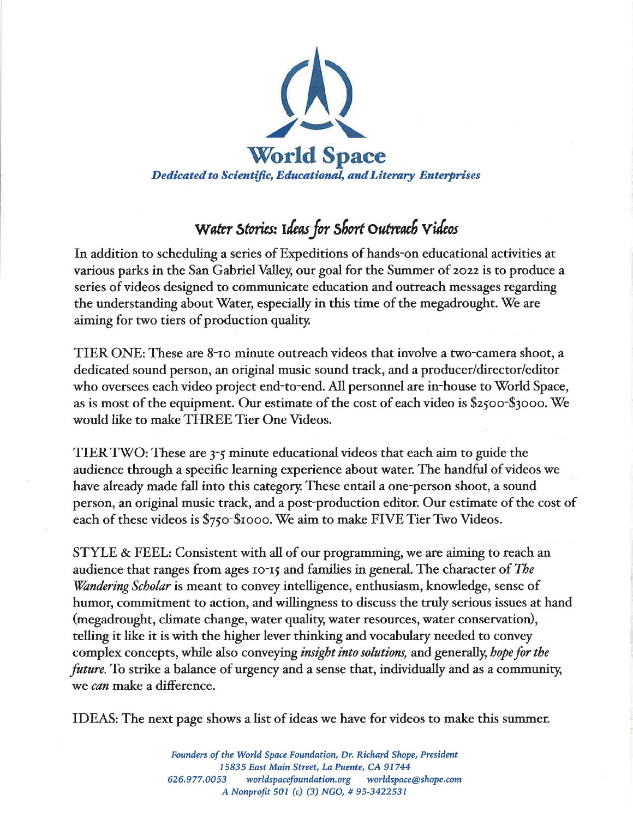

### Water Stories: Ideas for Short Outreach Videos

In addition to scheduling a series of Expeditions of hands-on educational activities at various parks in the San Gabriel Valley, our goal for the Summer of 2022 is to produce a series of videos designed to communicate education and outreach messages regarding the understanding about Water, especially in this time of the megadrought. We are aiming for two tiers of production quality.

TIER ONE: These are 8-10 minute outreach videos that involve a two-camera shoot, a dedicated sound person, an original music sound track, and a producer/director/editor who oversees each video project end-to-end. All personnel are in-house to World Space, as is most of the equipment. Our estimate of the cost of each video is \$2500-\$3000. We would like to make THREE Tier One Videos.

TIER TWO: These are 3-5 minute educational videos that each aim to guide the audience through a specific learning experience about water. The handful of videos we have already made fall into this category. These entail a one-person shoot, a sound person, an original music track, and a post-production editor. Our estimate of the cost of each of these videos is \$750-\$1000. We aim to make FIVE Tier Two Videos.

STYLE & FEEL: Consistent with all of our programming, we are aiming to reach an audience that ranges from ages 10-15 and families in general. The character of The *Wandering Scholar* is meant to convey intelligence, enthusiasm, knowledge, sense of humor, commitment to action, and willingness to discuss the truly serious issues at hand (megadrought, climate change, water quality, water resources, water conservation), telling it like it is with the higher lever thinking and vocabulary needed to convey complex concepts, while also conveying *insight into solutions*, and generally, *hope for the future*. To strike a balance of urgency and a sense that, individually and as a community, we *can* make a difference.

IDEAS: The next page shows a list of ideas we have for videos to make this summer.

Founders of the World Space Foundation, Dr. Richard Shope, President 15835 East Main Street, La Puente, CA 91744 626.977.0053 worldspacefoundation.org worldspace@shope.com A Nonprofit 501 (c) (3) NGO, #95-3422531